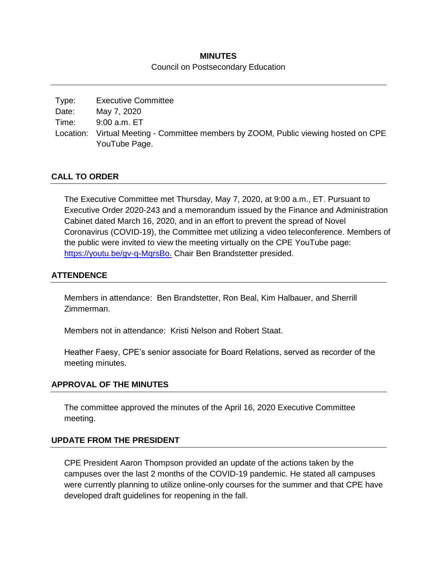# **MINUTES** Council on Postsecondary Education

| Type: | <b>Executive Committee</b>                                                          |
|-------|-------------------------------------------------------------------------------------|
| Date: | May 7, 2020                                                                         |
| Time: | 9:00 a.m. ET                                                                        |
|       | Location: Virtual Meeting - Committee members by ZOOM, Public viewing hosted on CPE |
|       | YouTube Page.                                                                       |

## **CALL TO ORDER**

The Executive Committee met Thursday, May 7, 2020, at 9:00 a.m., ET. Pursuant to Executive Order 2020-243 and a memorandum issued by the Finance and Administration Cabinet dated March 16, 2020, and in an effort to prevent the spread of Novel Coronavirus (COVID-19), the Committee met utilizing a video teleconference. Members of the public were invited to view the meeting virtually on the CPE YouTube page: https://youtu.be/gv-q-MgrsBo. Chair Ben Brandstetter presided.

### **ATTENDENCE**

Members in attendance: Ben Brandstetter, Ron Beal, Kim Halbauer, and Sherrill Zimmerman.

Members not in attendance: Kristi Nelson and Robert Staat.

Heather Faesy, CPE's senior associate for Board Relations, served as recorder of the meeting minutes.

#### **APPROVAL OF THE MINUTES**

The committee approved the minutes of the April 16, 2020 Executive Committee meeting.

#### **UPDATE FROM THE PRESIDENT**

CPE President Aaron Thompson provided an update of the actions taken by the campuses over the last 2 months of the COVID-19 pandemic. He stated all campuses were currently planning to utilize online-only courses for the summer and that CPE have developed draft guidelines for reopening in the fall.